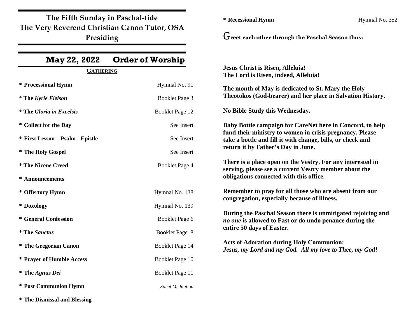**The Fifth Sunday in Paschal-tide The Very Reverend Christian Canon Tutor, OSA Presiding**

| May 22, 2022                     | <b>Order of Worship</b>  |                                                                                                                                                                                                                                                                                                                                                                              |  |
|----------------------------------|--------------------------|------------------------------------------------------------------------------------------------------------------------------------------------------------------------------------------------------------------------------------------------------------------------------------------------------------------------------------------------------------------------------|--|
| <b>GATHERING</b>                 |                          | <b>Jesus Christ is Risen, Alleluia!</b><br>The Lord is Risen, indeed, Alleluia!                                                                                                                                                                                                                                                                                              |  |
| * Processional Hymn              | Hymnal No. 91            | The month of May is dedicated to St. Mary the Holy                                                                                                                                                                                                                                                                                                                           |  |
| <i>*</i> The Kyrie Eleison       | Booklet Page 3           | Theotokos (God-bearer) and her place in Salvation History.                                                                                                                                                                                                                                                                                                                   |  |
| <i>*</i> The Gloria in Excelsis  | <b>Booklet Page 12</b>   | No Bible Study this Wednesday.                                                                                                                                                                                                                                                                                                                                               |  |
| * Collect for the Day            | See Insert               | Baby Bottle campaign for CareNet here in Concord, to help                                                                                                                                                                                                                                                                                                                    |  |
| * First Lesson - Psalm - Epistle | See Insert               | fund their ministry to women in crisis pregnancy. Please<br>take a bottle and fill it with change, bills, or check and                                                                                                                                                                                                                                                       |  |
| * The Holy Gospel                | See Insert               | return it by Father's Day in June.                                                                                                                                                                                                                                                                                                                                           |  |
| <i>*</i> The Nicene Creed        | Booklet Page 4           | There is a place open on the Vestry. For any interested in<br>serving, please see a current Vestry member about the                                                                                                                                                                                                                                                          |  |
| * Announcements                  |                          | obligations connected with this office.                                                                                                                                                                                                                                                                                                                                      |  |
| * Offertory Hymn                 | Hymnal No. 138           | Remember to pray for all those who are absent from our<br>congregation, especially because of illness.<br>During the Paschal Season there is unmitigated rejoicing and<br>no one is allowed to Fast or do undo penance during the<br>entire 50 days of Easter.<br><b>Acts of Adoration during Holy Communion:</b><br>Jesus, my Lord and my God. All my love to Thee, my God! |  |
| * Doxology                       | Hymnal No. 139           |                                                                                                                                                                                                                                                                                                                                                                              |  |
| * General Confession             | Booklet Page 6           |                                                                                                                                                                                                                                                                                                                                                                              |  |
| <i><b>*</b></i> The Sanctus      | Booklet Page 8           |                                                                                                                                                                                                                                                                                                                                                                              |  |
| * The Gregorian Canon            | Booklet Page 14          |                                                                                                                                                                                                                                                                                                                                                                              |  |
| * Prayer of Humble Access        | Booklet Page 10          |                                                                                                                                                                                                                                                                                                                                                                              |  |
| <i>*</i> The Agnus Dei           | Booklet Page 11          |                                                                                                                                                                                                                                                                                                                                                                              |  |
| * Post Communion Hymn            | <b>Silent Meditation</b> |                                                                                                                                                                                                                                                                                                                                                                              |  |

**\* Recessional Hymn** Hymnal No. 352

G**reet each other through the Paschal Season thus:**

**\* The Dismissal and Blessing**